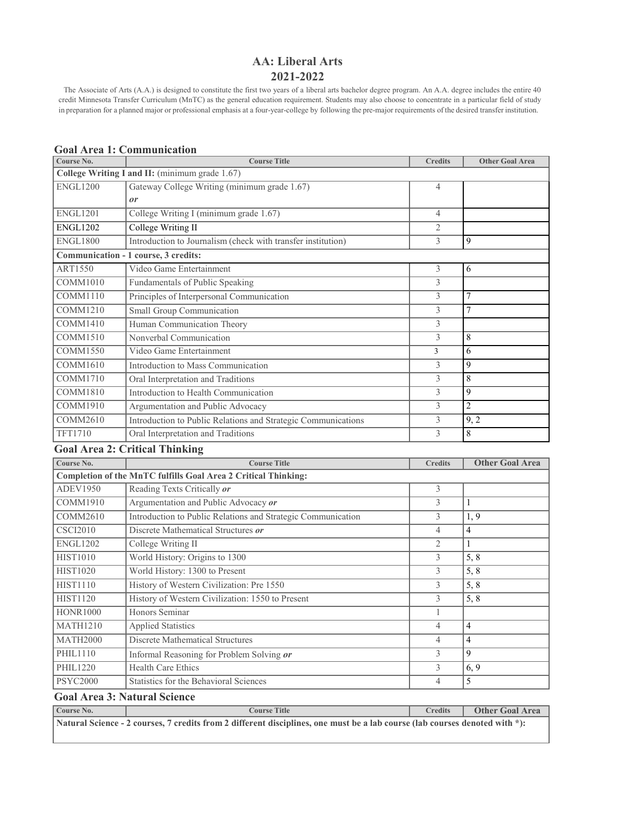# **AA: Liberal Arts 2021-2022**

The Associate of Arts (A.A.) is designed to constitute the first two years of a liberal arts bachelor degree program. An A.A. degree includes the entire 40 credit Minnesota Transfer Curriculum (MnTC) as the general education requirement. Students may also choose to concentrate in a particular field of study in preparation for a planned major or professional emphasis at a four-year-college by following the pre-major requirements of the desired transfer institution.

| Course No.      | <b>Course Title</b>                                                   | <b>Credits</b> | <b>Other Goal Area</b> |
|-----------------|-----------------------------------------------------------------------|----------------|------------------------|
|                 | College Writing I and II: (minimum grade 1.67)                        |                |                        |
| <b>ENGL1200</b> | Gateway College Writing (minimum grade 1.67)                          | $\overline{4}$ |                        |
|                 | or                                                                    |                |                        |
| <b>ENGL1201</b> | College Writing I (minimum grade 1.67)                                | $\overline{4}$ |                        |
| <b>ENGL1202</b> | College Writing II                                                    | $\overline{2}$ |                        |
| <b>ENGL1800</b> | Introduction to Journalism (check with transfer institution)          | $\overline{3}$ | 9                      |
|                 | Communication - 1 course, 3 credits:                                  |                |                        |
| ART1550         | Video Game Entertainment                                              | 3              | 6                      |
| COMM1010        | Fundamentals of Public Speaking                                       | 3              |                        |
| COMM1110        | Principles of Interpersonal Communication                             | 3              | $\tau$                 |
| <b>COMM1210</b> | Small Group Communication                                             | 3              | $\overline{7}$         |
| <b>COMM1410</b> | Human Communication Theory                                            | 3              |                        |
| <b>COMM1510</b> | Nonverbal Communication                                               | 3              | 8                      |
| <b>COMM1550</b> | Video Game Entertainment                                              | 3              | 6                      |
| COMM1610        | Introduction to Mass Communication                                    | 3              | $\mathbf{Q}$           |
| <b>COMM1710</b> | Oral Interpretation and Traditions                                    | 3              | 8                      |
| <b>COMM1810</b> | Introduction to Health Communication                                  | 3              | 9                      |
| COMM1910        | Argumentation and Public Advocacy                                     | 3              | $\overline{2}$         |
| <b>COMM2610</b> | Introduction to Public Relations and Strategic Communications         | 3              | 9, 2                   |
| TFT1710         | Oral Interpretation and Traditions                                    | 3              | $\overline{8}$         |
|                 | <b>Goal Area 2: Critical Thinking</b>                                 |                |                        |
| Course No.      | <b>Course Title</b>                                                   | <b>Credits</b> | <b>Other Goal Area</b> |
|                 | <b>Completion of the MnTC fulfills Goal Area 2 Critical Thinking:</b> |                |                        |
| ADEV1950        | Reading Texts Critically or                                           | 3              |                        |
| <b>COMM1910</b> | Argumentation and Public Advocacy or                                  | 3              | 1                      |
| <b>COMM2610</b> | Introduction to Public Relations and Strategic Communication          | 3              | 1, 9                   |
| <b>CSCI2010</b> | Discrete Mathematical Structures or                                   | $\overline{4}$ | $\overline{4}$         |
| <b>ENGL1202</b> | College Writing II                                                    | $\overline{2}$ | 1                      |
| <b>HIST1010</b> | World History: Origins to 1300                                        | 3              | 5, 8                   |
| <b>HIST1020</b> | World History: 1300 to Present                                        | $\overline{3}$ | $\overline{5, 8}$      |
| <b>HIST1110</b> | History of Western Civilization: Pre 1550                             | 3              | $\overline{5, 8}$      |
| <b>HIST1120</b> | History of Western Civilization: 1550 to Present                      | 3              | 5, 8                   |
| <b>HONR1000</b> | Honors Seminar                                                        | 1              |                        |
| <b>MATH1210</b> | <b>Applied Statistics</b>                                             | $\overline{4}$ | $\overline{4}$         |
| <b>MATH2000</b> | <b>Discrete Mathematical Structures</b>                               | $\overline{4}$ | $\overline{4}$         |
| <b>PHIL1110</b> | Informal Reasoning for Problem Solving or                             | $\overline{3}$ | 9                      |
| <b>PHIL1220</b> | Health Care Ethics                                                    | 3              | $\overline{6, 9}$      |
| <b>PSYC2000</b> | <b>Statistics for the Behavioral Sciences</b>                         | $\overline{4}$ | 5                      |

# **Goal Area 1: Communication**

**Goal Area 3: Natural Science**

**Course No. Course Title Credits Other Goal Area**

Natural Science - 2 courses, 7 credits from 2 different disciplines, one must be a lab course (lab courses denoted with \*):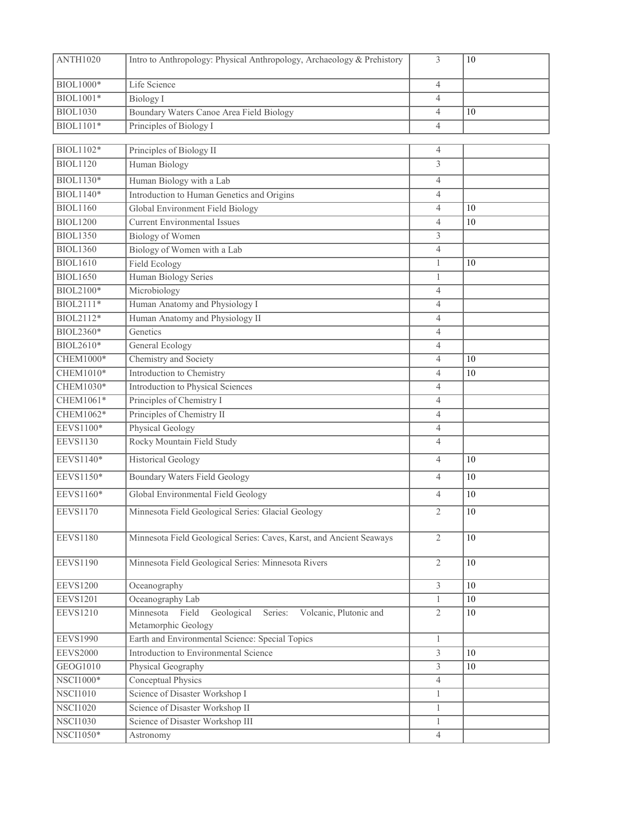| ANTH1020         | Intro to Anthropology: Physical Anthropology, Archaeology & Prehistory                       | 3              | 10     |
|------------------|----------------------------------------------------------------------------------------------|----------------|--------|
| BIOL1000*        | Life Science                                                                                 | $\overline{4}$ |        |
| $BIOL1001*$      | <b>Biology</b> I                                                                             | $\overline{4}$ |        |
| <b>BIOL1030</b>  | Boundary Waters Canoe Area Field Biology                                                     | $\overline{4}$ | 10     |
| BIOL1101*        | Principles of Biology I                                                                      | $\overline{4}$ |        |
|                  |                                                                                              |                |        |
| BIOL1102*        | Principles of Biology II                                                                     | 4              |        |
| <b>BIOL1120</b>  | Human Biology                                                                                | 3              |        |
| BIOL1130*        | Human Biology with a Lab                                                                     | $\overline{4}$ |        |
| BIOL1140*        | Introduction to Human Genetics and Origins                                                   | $\overline{4}$ |        |
| <b>BIOL1160</b>  | Global Environment Field Biology                                                             | $\overline{4}$ | 10     |
| <b>BIOL1200</b>  | <b>Current Environmental Issues</b>                                                          | $\overline{4}$ | 10     |
| <b>BIOL1350</b>  | Biology of Women                                                                             | 3              |        |
| <b>BIOL1360</b>  | Biology of Women with a Lab                                                                  | $\overline{4}$ |        |
| <b>BIOL1610</b>  | Field Ecology                                                                                | $\mathbf{1}$   | 10     |
| <b>BIOL1650</b>  | Human Biology Series                                                                         | $\mathbf{1}$   |        |
| BIOL2100*        | Microbiology                                                                                 | $\overline{4}$ |        |
| BIOL2111*        | Human Anatomy and Physiology I                                                               | $\overline{4}$ |        |
| BIOL2112*        | Human Anatomy and Physiology II                                                              | $\overline{4}$ |        |
| BIOL2360*        | Genetics                                                                                     | $\overline{4}$ |        |
| BIOL2610*        | General Ecology                                                                              | $\overline{4}$ |        |
| <b>CHEM1000*</b> | Chemistry and Society                                                                        | $\overline{4}$ | 10     |
| CHEM1010*        | <b>Introduction to Chemistry</b>                                                             | $\overline{4}$ | 10     |
| CHEM1030*        | Introduction to Physical Sciences                                                            | $\overline{4}$ |        |
| CHEM1061*        | Principles of Chemistry I                                                                    | $\overline{4}$ |        |
| CHEM1062*        | Principles of Chemistry II                                                                   | $\overline{4}$ |        |
| EEVS1100*        | Physical Geology                                                                             | $\overline{4}$ |        |
| <b>EEVS1130</b>  | Rocky Mountain Field Study                                                                   | $\overline{4}$ |        |
| EEVS1140*        | <b>Historical Geology</b>                                                                    | $\overline{4}$ | 10     |
| EEVS1150*        | <b>Boundary Waters Field Geology</b>                                                         | $\overline{4}$ | 10     |
| EEVS1160*        | Global Environmental Field Geology                                                           | 4              | 10     |
| <b>EEVS1170</b>  | Minnesota Field Geological Series: Glacial Geology                                           | $\mathfrak{2}$ | 10     |
| <b>EEVS1180</b>  | Minnesota Field Geological Series: Caves, Karst, and Ancient Seaways                         | $\overline{2}$ | 10     |
| <b>EEVS1190</b>  | Minnesota Field Geological Series: Minnesota Rivers                                          | $\overline{2}$ | 10     |
| <b>EEVS1200</b>  | Oceanography                                                                                 | 3              | $10\,$ |
| <b>EEVS1201</b>  | Oceanography Lab                                                                             | $\mathbf{1}$   | 10     |
| <b>EEVS1210</b>  | Minnesota<br>Field<br>Geological<br>Series:<br>Volcanic, Plutonic and<br>Metamorphic Geology | $\overline{2}$ | 10     |
| <b>EEVS1990</b>  | Earth and Environmental Science: Special Topics                                              | $\mathbf{1}$   |        |
| <b>EEVS2000</b>  | Introduction to Environmental Science                                                        | $\overline{3}$ | 10     |
| GEOG1010         | Physical Geography                                                                           | 3              | 10     |
| NSCI1000*        | Conceptual Physics                                                                           | 4              |        |
| <b>NSCI1010</b>  | Science of Disaster Workshop I                                                               | $\mathbf{1}$   |        |
| <b>NSCI1020</b>  | Science of Disaster Workshop II                                                              | $\mathbf{1}$   |        |
| <b>NSCI1030</b>  | Science of Disaster Workshop III                                                             | $\mathbf{1}$   |        |
| NSCI1050*        | Astronomy                                                                                    | $\overline{4}$ |        |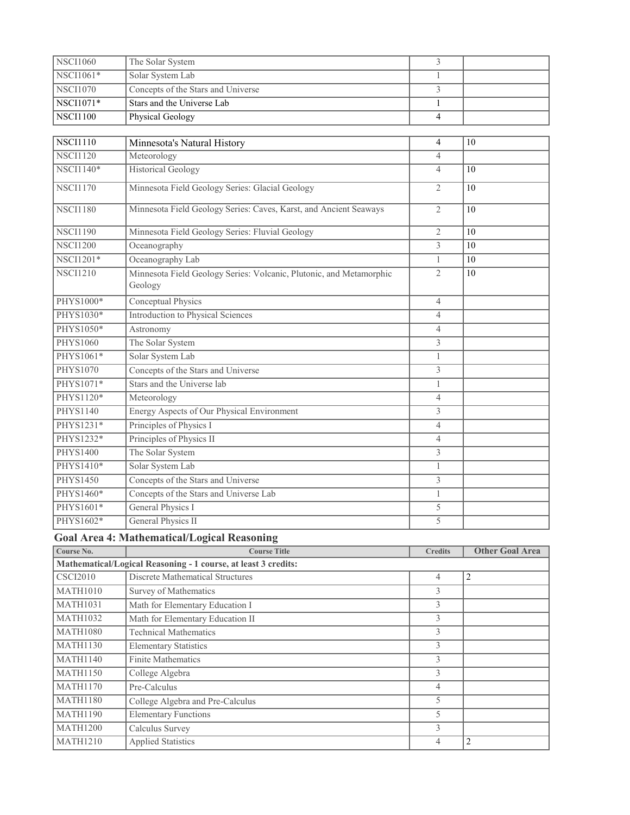| <b>NSCI1060</b> | The Solar System                                                               | 3              |                        |
|-----------------|--------------------------------------------------------------------------------|----------------|------------------------|
| NSCI1061*       | Solar System Lab                                                               | 1              |                        |
| <b>NSCI1070</b> | Concepts of the Stars and Universe                                             | 3              |                        |
| NSCI1071*       | <b>Stars and the Universe Lab</b>                                              | 1              |                        |
| <b>NSCI1100</b> | Physical Geology                                                               | $\overline{4}$ |                        |
|                 |                                                                                |                |                        |
| <b>NSCI1110</b> | Minnesota's Natural History                                                    | $\overline{4}$ | 10                     |
| <b>NSCI1120</b> | Meteorology                                                                    | $\overline{4}$ |                        |
| NSCI1140*       | <b>Historical Geology</b>                                                      | $\overline{4}$ | 10                     |
| <b>NSCI1170</b> | Minnesota Field Geology Series: Glacial Geology                                | $\overline{2}$ | 10                     |
| <b>NSCI1180</b> | Minnesota Field Geology Series: Caves, Karst, and Ancient Seaways              | $\overline{2}$ | 10                     |
| <b>NSCI1190</b> | Minnesota Field Geology Series: Fluvial Geology                                | $\overline{2}$ | 10                     |
| <b>NSCI1200</b> | Oceanography                                                                   | 3              | 10                     |
| NSCI1201*       | Oceanography Lab                                                               | $\mathbf{1}$   | 10                     |
| <b>NSCI1210</b> | Minnesota Field Geology Series: Volcanic, Plutonic, and Metamorphic<br>Geology | $\overline{2}$ | 10                     |
| PHYS1000*       | Conceptual Physics                                                             | $\overline{4}$ |                        |
| PHYS1030*       | <b>Introduction to Physical Sciences</b>                                       | $\overline{4}$ |                        |
| PHYS1050*       | Astronomy                                                                      | $\overline{4}$ |                        |
| PHYS1060        | The Solar System                                                               | 3              |                        |
| PHYS1061*       | Solar System Lab                                                               | $\mathbf{1}$   |                        |
| PHYS1070        | Concepts of the Stars and Universe                                             | 3              |                        |
| PHYS1071*       | Stars and the Universe lab                                                     | 1              |                        |
| PHYS1120*       | Meteorology                                                                    | $\overline{4}$ |                        |
| <b>PHYS1140</b> | <b>Energy Aspects of Our Physical Environment</b>                              | 3              |                        |
| PHYS1231*       | Principles of Physics I                                                        | $\overline{4}$ |                        |
| PHYS1232*       | Principles of Physics II                                                       | $\overline{4}$ |                        |
| <b>PHYS1400</b> | The Solar System                                                               | 3              |                        |
| PHYS1410*       | Solar System Lab                                                               | $\mathbf{1}$   |                        |
| PHYS1450        | Concepts of the Stars and Universe                                             | 3              |                        |
| PHYS1460*       | Concepts of the Stars and Universe Lab                                         | 1              |                        |
| PHYS1601*       | <b>General Physics I</b>                                                       | 5              |                        |
| PHYS1602*       | General Physics II                                                             | 5              |                        |
|                 | <b>Goal Area 4: Mathematical/Logical Reasoning</b>                             |                |                        |
| Course No.      | <b>Course Title</b>                                                            | <b>Credits</b> | <b>Other Goal Area</b> |
|                 | Mathematical/Logical Reasoning - 1 course, at least 3 credits:                 |                |                        |
| <b>CSCI2010</b> | <b>Discrete Mathematical Structures</b>                                        | 4              | 2                      |
| <b>MATH1010</b> | Survey of Mathematics                                                          | 3              |                        |
| <b>MATH1031</b> | Math for Elementary Education I                                                | 3              |                        |
| <b>MATH1032</b> | Math for Elementary Education II                                               | $\overline{3}$ |                        |
| <b>MATH1080</b> | <b>Technical Mathematics</b>                                                   | $\mathfrak{Z}$ |                        |
| <b>MATH1130</b> | <b>Elementary Statistics</b>                                                   | 3              |                        |
| <b>MATH1140</b> | <b>Finite Mathematics</b>                                                      | $\mathfrak{Z}$ |                        |
| <b>MATH1150</b> | College Algebra                                                                | 3              |                        |
| <b>MATH1170</b> | Pre-Calculus                                                                   | $\overline{4}$ |                        |
| <b>MATH1180</b> | College Algebra and Pre-Calculus                                               | 5              |                        |
| <b>MATH1190</b> | <b>Elementary Functions</b>                                                    | 5              |                        |
| <b>MATH1200</b> | Calculus Survey                                                                | 3              |                        |
| <b>MATH1210</b> | <b>Applied Statistics</b>                                                      | $\overline{4}$ | $\overline{c}$         |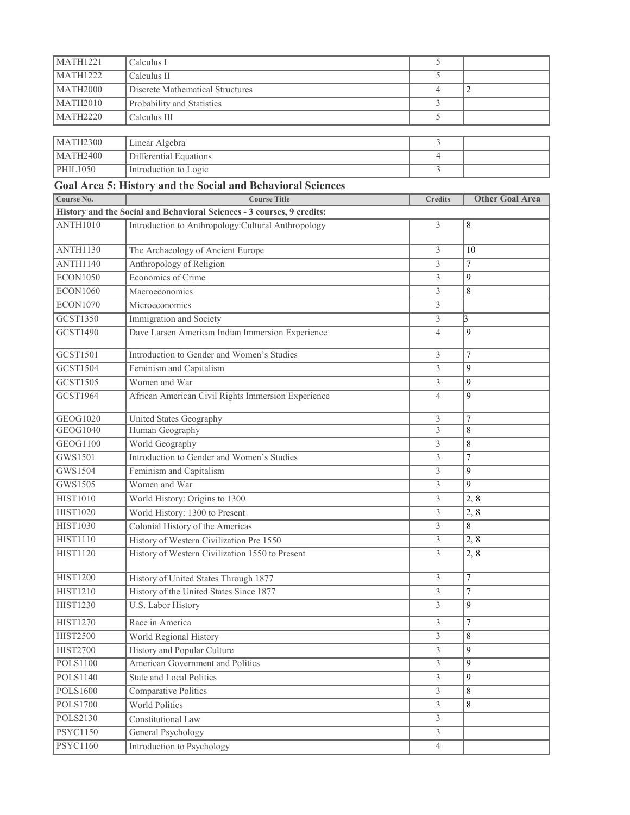| <b>MATH1221</b> | Calculus I                                                             | 5              |                        |
|-----------------|------------------------------------------------------------------------|----------------|------------------------|
| <b>MATH1222</b> | Calculus II                                                            | 5              |                        |
| <b>MATH2000</b> | <b>Discrete Mathematical Structures</b>                                | $\overline{4}$ | $\overline{2}$         |
| <b>MATH2010</b> | Probability and Statistics                                             | 3              |                        |
| <b>MATH2220</b> | Calculus III                                                           | 5              |                        |
|                 |                                                                        |                |                        |
| <b>MATH2300</b> | Linear Algebra                                                         | 3              |                        |
| <b>MATH2400</b> | Differential Equations                                                 | $\overline{4}$ |                        |
| PHIL1050        | Introduction to Logic                                                  | 3              |                        |
|                 | Goal Area 5: History and the Social and Behavioral Sciences            |                |                        |
| Course No.      | <b>Course Title</b>                                                    | <b>Credits</b> | <b>Other Goal Area</b> |
|                 | History and the Social and Behavioral Sciences - 3 courses, 9 credits: |                |                        |
| <b>ANTH1010</b> | Introduction to Anthropology: Cultural Anthropology                    | 3              | 8                      |
| <b>ANTH1130</b> | The Archaeology of Ancient Europe                                      | 3              | 10                     |
| <b>ANTH1140</b> | Anthropology of Religion                                               | 3              | $\overline{7}$         |
| <b>ECON1050</b> | Economics of Crime                                                     | 3              | 9                      |
| <b>ECON1060</b> | Macroeconomics                                                         | 3              | $\,$ 8 $\,$            |
| <b>ECON1070</b> | Microeconomics                                                         | 3              |                        |
| GCST1350        | Immigration and Society                                                | 3              | 3                      |
| <b>GCST1490</b> | Dave Larsen American Indian Immersion Experience                       | 4              | $\mathbf Q$            |
| GCST1501        | Introduction to Gender and Women's Studies                             | 3              | 7                      |
| GCST1504        | Feminism and Capitalism                                                | 3              | 9                      |
| GCST1505        | Women and War                                                          | 3              | 9                      |
| GCST1964        | African American Civil Rights Immersion Experience                     | $\overline{4}$ | 9                      |
| GEOG1020        | United States Geography                                                | 3              | $\overline{7}$         |
| <b>GEOG1040</b> | Human Geography                                                        | 3              | 8                      |
| GEOG1100        | World Geography                                                        | 3              | 8                      |
| GWS1501         | Introduction to Gender and Women's Studies                             | 3              | $\overline{7}$         |
| GWS1504         | Feminism and Capitalism                                                | 3              | 9                      |
| GWS1505         | Women and War                                                          | 3              | 9                      |
| <b>HIST1010</b> | World History: Origins to 1300                                         | 3              | 2, 8                   |
| <b>HIST1020</b> | World History: 1300 to Present                                         | 3              | $\overline{2,8}$       |
| <b>HIST1030</b> | Colonial History of the Americas                                       | $\overline{3}$ | $\,8\,$                |
| <b>HIST1110</b> | History of Western Civilization Pre 1550                               | 3              | 2, 8                   |
| <b>HIST1120</b> | History of Western Civilization 1550 to Present                        | 3              | $\overline{2,8}$       |
| <b>HIST1200</b> | History of United States Through 1877                                  | 3              | $\overline{7}$         |
| HIST1210        | History of the United States Since 1877                                | $\overline{3}$ | $\overline{7}$         |
| <b>HIST1230</b> | <b>U.S. Labor History</b>                                              | $\overline{3}$ | 9                      |
| <b>HIST1270</b> | Race in America                                                        | $\overline{3}$ | $\overline{7}$         |
| <b>HIST2500</b> | World Regional History                                                 | $\overline{3}$ | 8                      |
| <b>HIST2700</b> | History and Popular Culture                                            | 3              | 9                      |
| <b>POLS1100</b> | American Government and Politics                                       | 3              | 9                      |
| <b>POLS1140</b> | <b>State and Local Politics</b>                                        | 3              | 9                      |
| POLS1600        | Comparative Politics                                                   | $\overline{3}$ | 8                      |
| POLS1700        | <b>World Politics</b>                                                  | $\overline{3}$ | 8                      |
| POLS2130        | Constitutional Law                                                     | 3              |                        |
| PSYC1150        | General Psychology                                                     | 3              |                        |
| PSYC1160        | Introduction to Psychology                                             | $\overline{4}$ |                        |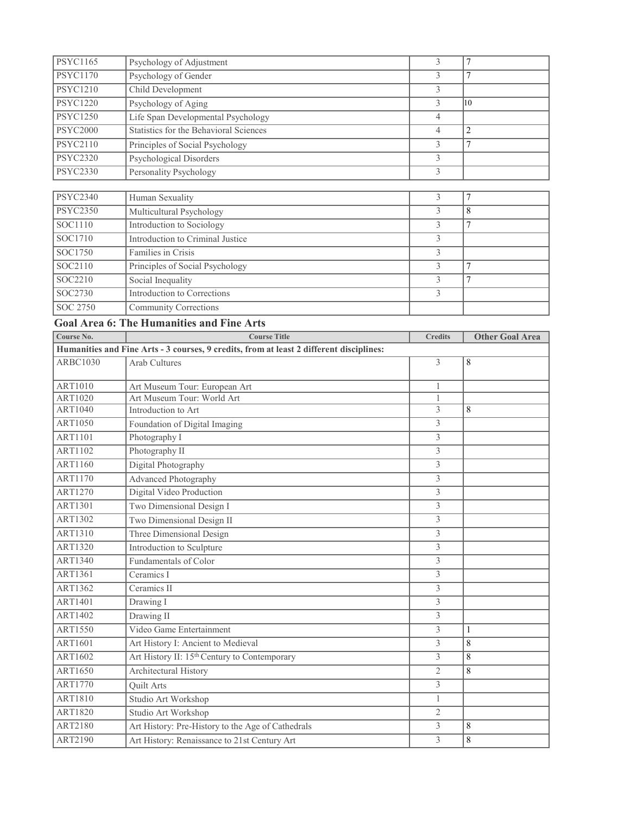| <b>PSYC1165</b> | Psychology of Adjustment                                                                | $\overline{3}$ | $\overline{7}$         |
|-----------------|-----------------------------------------------------------------------------------------|----------------|------------------------|
| <b>PSYC1170</b> | Psychology of Gender                                                                    | 3              | 7                      |
| <b>PSYC1210</b> | Child Development                                                                       | 3              |                        |
| <b>PSYC1220</b> | Psychology of Aging                                                                     | 3              | 10                     |
| <b>PSYC1250</b> | Life Span Developmental Psychology                                                      | $\overline{4}$ |                        |
| <b>PSYC2000</b> | Statistics for the Behavioral Sciences                                                  | $\overline{4}$ | 2                      |
| <b>PSYC2110</b> | Principles of Social Psychology                                                         | 3              | $\tau$                 |
| <b>PSYC2320</b> | Psychological Disorders                                                                 | 3              |                        |
| <b>PSYC2330</b> | Personality Psychology                                                                  | 3              |                        |
|                 |                                                                                         |                |                        |
| <b>PSYC2340</b> | Human Sexuality                                                                         | 3              | 7                      |
| <b>PSYC2350</b> | Multicultural Psychology                                                                | 3              | 8                      |
| SOC1110         | Introduction to Sociology                                                               | 3              | 7                      |
| SOC1710         | Introduction to Criminal Justice                                                        | 3              |                        |
| SOC1750         | Families in Crisis                                                                      | 3              |                        |
| SOC2110         | Principles of Social Psychology                                                         | 3              | 7                      |
| SOC2210         | Social Inequality                                                                       | 3              | $\tau$                 |
| SOC2730         | <b>Introduction to Corrections</b>                                                      | 3              |                        |
| SOC 2750        | <b>Community Corrections</b>                                                            |                |                        |
|                 | <b>Goal Area 6: The Humanities and Fine Arts</b>                                        |                |                        |
| Course No.      | <b>Course Title</b>                                                                     | <b>Credits</b> | <b>Other Goal Area</b> |
|                 | Humanities and Fine Arts - 3 courses, 9 credits, from at least 2 different disciplines: |                |                        |
| <b>ARBC1030</b> | <b>Arab Cultures</b>                                                                    | 3              | 8                      |
|                 |                                                                                         |                |                        |
| <b>ART1010</b>  | Art Museum Tour: European Art                                                           | 1              |                        |
| <b>ART1020</b>  | Art Museum Tour: World Art                                                              | 1              |                        |
| ART1040         | Introduction to Art                                                                     | 3              | 8                      |
| ART1050         | Foundation of Digital Imaging                                                           | 3              |                        |
| ART1101         | Photography I                                                                           | 3              |                        |
| ART1102         | Photography II                                                                          | 3              |                        |
| ART1160         | Digital Photography                                                                     | 3              |                        |
| ART1170         | Advanced Photography                                                                    | 3              |                        |
| <b>ART1270</b>  | Digital Video Production                                                                | 3              |                        |
| <b>ART1301</b>  | Two Dimensional Design I                                                                | 3              |                        |
| ART1302         | Two Dimensional Design II                                                               | 3              |                        |
| ART1310         | Three Dimensional Design                                                                | 3              |                        |
| <b>ART1320</b>  | Introduction to Sculpture                                                               | $\overline{3}$ |                        |
| ART1340         | Fundamentals of Color                                                                   | 3              |                        |
| <b>ART1361</b>  | Ceramics I                                                                              | $\overline{3}$ |                        |
| ART1362         | Ceramics II                                                                             | $\overline{3}$ |                        |
| ART1401         | Drawing I                                                                               | $\overline{3}$ |                        |
| ART1402         | Drawing II                                                                              | 3              |                        |
| ART1550         | Video Game Entertainment                                                                | $\overline{3}$ | 1                      |
| ART1601         | Art History I: Ancient to Medieval                                                      | 3              | 8                      |
| ART1602         | Art History II: 15 <sup>th</sup> Century to Contemporary                                | $\overline{3}$ | 8                      |
| ART1650         | Architectural History                                                                   | $\overline{2}$ | 8                      |
| <b>ART1770</b>  | Quilt Arts                                                                              | 3              |                        |
| ART1810         | Studio Art Workshop                                                                     | 1              |                        |
| <b>ART1820</b>  | Studio Art Workshop                                                                     | $\overline{2}$ |                        |
| ART2180         | Art History: Pre-History to the Age of Cathedrals                                       | 3              | 8                      |
| ART2190         | Art History: Renaissance to 21st Century Art                                            | $\overline{3}$ | $\overline{8}$         |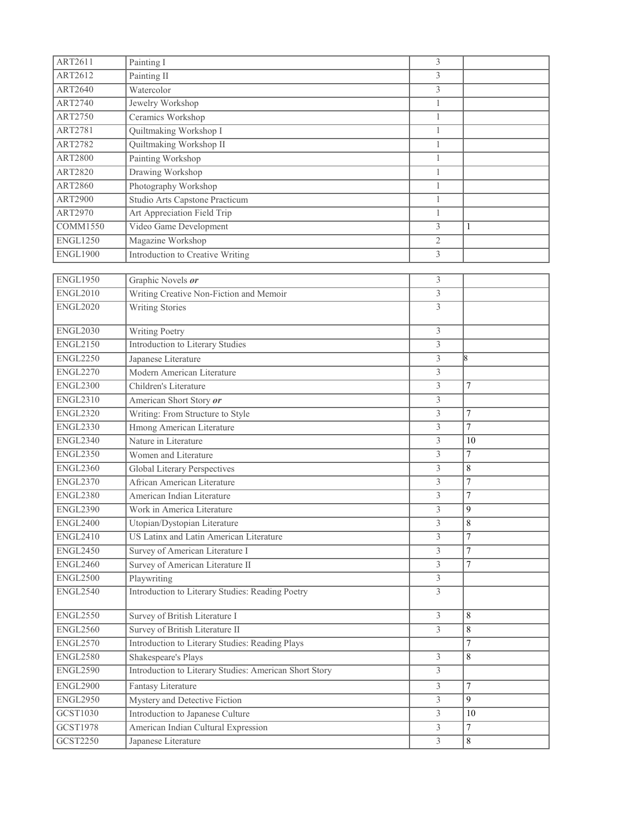| ART2611         | Painting I                                             | 3              |                  |
|-----------------|--------------------------------------------------------|----------------|------------------|
| ART2612         | Painting II                                            | 3              |                  |
| ART2640         | Watercolor                                             | 3              |                  |
| <b>ART2740</b>  | Jewelry Workshop                                       | $\mathbf{1}$   |                  |
| <b>ART2750</b>  | Ceramics Workshop                                      | $\mathbf{1}$   |                  |
| ART2781         | Quiltmaking Workshop I                                 | $\mathbf{1}$   |                  |
| <b>ART2782</b>  | Quiltmaking Workshop II                                | $\mathbf{1}$   |                  |
| <b>ART2800</b>  | Painting Workshop                                      | $\mathbf{1}$   |                  |
| <b>ART2820</b>  | Drawing Workshop                                       | $\mathbf{1}$   |                  |
| <b>ART2860</b>  | Photography Workshop                                   | $\mathbf{1}$   |                  |
| <b>ART2900</b>  | Studio Arts Capstone Practicum                         | $\mathbf{1}$   |                  |
| ART2970         | Art Appreciation Field Trip                            | $\mathbf{1}$   |                  |
| <b>COMM1550</b> | Video Game Development                                 | 3              | $\mathbf{1}$     |
| <b>ENGL1250</b> | Magazine Workshop                                      | 2              |                  |
| <b>ENGL1900</b> | Introduction to Creative Writing                       | 3              |                  |
|                 |                                                        |                |                  |
| <b>ENGL1950</b> | Graphic Novels or                                      | 3              |                  |
| <b>ENGL2010</b> | Writing Creative Non-Fiction and Memoir                | $\overline{3}$ |                  |
| <b>ENGL2020</b> | Writing Stories                                        | 3              |                  |
| <b>ENGL2030</b> | Writing Poetry                                         | 3              |                  |
| <b>ENGL2150</b> | <b>Introduction to Literary Studies</b>                | 3              |                  |
| <b>ENGL2250</b> | Japanese Literature                                    | $\overline{3}$ | l8               |
| <b>ENGL2270</b> | Modern American Literature                             | $\overline{3}$ |                  |
| <b>ENGL2300</b> | Children's Literature                                  | 3              | 7                |
| <b>ENGL2310</b> | American Short Story or                                | 3              |                  |
| <b>ENGL2320</b> | Writing: From Structure to Style                       | 3              | $\tau$           |
| <b>ENGL2330</b> | Hmong American Literature                              | $\overline{3}$ | $\tau$           |
| <b>ENGL2340</b> | Nature in Literature                                   | 3              | 10               |
| <b>ENGL2350</b> | Women and Literature                                   | 3              | $\overline{7}$   |
| <b>ENGL2360</b> | Global Literary Perspectives                           | 3              | 8                |
| <b>ENGL2370</b> | African American Literature                            | $\overline{3}$ | $\overline{7}$   |
| <b>ENGL2380</b> | American Indian Literature                             | 3              | 7                |
| <b>ENGL2390</b> | Work in America Literature                             | 3              | 9                |
| <b>ENGL2400</b> | Utopian/Dystopian Literature                           | 3              | 8                |
| <b>ENGL2410</b> | US Latinx and Latin American Literature                | 3              | $\tau$           |
| <b>ENGL2450</b> | Survey of American Literature I                        | 3              | $\tau$           |
| <b>ENGL2460</b> | Survey of American Literature II                       | $\overline{3}$ | $\tau$           |
| <b>ENGL2500</b> | Playwriting                                            | $\overline{3}$ |                  |
| <b>ENGL2540</b> | Introduction to Literary Studies: Reading Poetry       | 3              |                  |
| ENGL2550        | Survey of British Literature I                         | 3              | 8                |
| <b>ENGL2560</b> | Survey of British Literature II                        | $\overline{3}$ | 8                |
| <b>ENGL2570</b> | Introduction to Literary Studies: Reading Plays        |                | $\boldsymbol{7}$ |
| <b>ENGL2580</b> | Shakespeare's Plays                                    | 3              | 8                |
| <b>ENGL2590</b> | Introduction to Literary Studies: American Short Story | $\overline{3}$ |                  |
| <b>ENGL2900</b> | Fantasy Literature                                     | 3              | 7                |
| <b>ENGL2950</b> | Mystery and Detective Fiction                          | 3              | 9                |
| GCST1030        | Introduction to Japanese Culture                       | $\overline{3}$ | 10               |
| GCST1978        | American Indian Cultural Expression                    | 3              | $\overline{7}$   |
| GCST2250        | Japanese Literature                                    | $\overline{3}$ | $8\,$            |
|                 |                                                        |                |                  |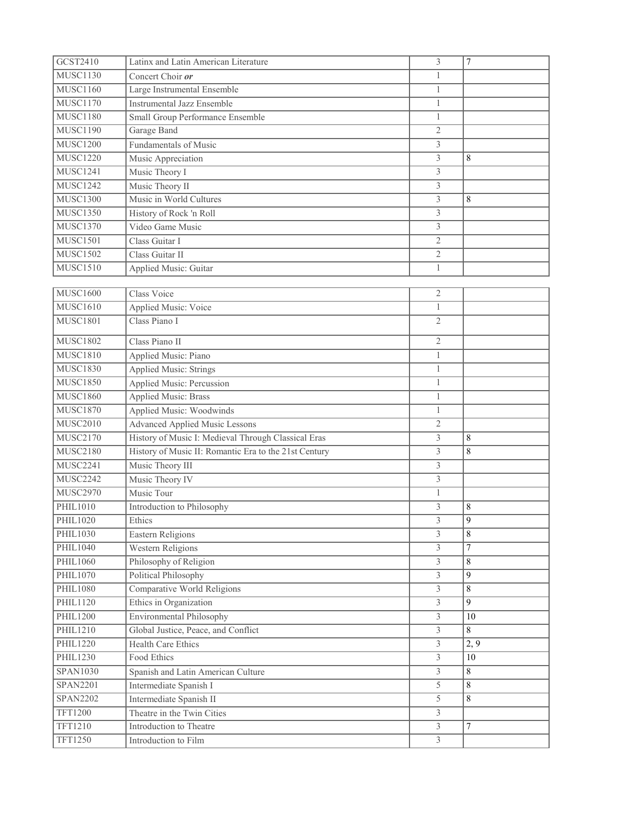| GCST2410        | Latinx and Latin American Literature                  | 3                       | $\tau$          |
|-----------------|-------------------------------------------------------|-------------------------|-----------------|
| <b>MUSC1130</b> | Concert Choir or                                      | $\mathbf{1}$            |                 |
| <b>MUSC1160</b> | Large Instrumental Ensemble                           | $\mathbf{1}$            |                 |
| <b>MUSC1170</b> | <b>Instrumental Jazz Ensemble</b>                     | $\mathbf{1}$            |                 |
| <b>MUSC1180</b> | Small Group Performance Ensemble                      | $\mathbf{1}$            |                 |
| <b>MUSC1190</b> | Garage Band                                           | 2                       |                 |
| <b>MUSC1200</b> | Fundamentals of Music                                 | 3                       |                 |
| <b>MUSC1220</b> | Music Appreciation                                    | 3                       | 8               |
| <b>MUSC1241</b> | Music Theory I                                        | 3                       |                 |
| <b>MUSC1242</b> | Music Theory II                                       | 3                       |                 |
| <b>MUSC1300</b> | Music in World Cultures                               | 3                       | 8               |
| <b>MUSC1350</b> | History of Rock 'n Roll                               | 3                       |                 |
| <b>MUSC1370</b> | Video Game Music                                      | 3                       |                 |
| <b>MUSC1501</b> | Class Guitar I                                        | 2                       |                 |
| <b>MUSC1502</b> | Class Guitar II                                       | $\overline{2}$          |                 |
| <b>MUSC1510</b> | Applied Music: Guitar                                 | $\mathbf{1}$            |                 |
|                 |                                                       |                         |                 |
| <b>MUSC1600</b> | Class Voice                                           | $\overline{2}$          |                 |
| <b>MUSC1610</b> | Applied Music: Voice                                  | $\mathbf{1}$            |                 |
| <b>MUSC1801</b> | Class Piano I                                         | $\overline{2}$          |                 |
| <b>MUSC1802</b> | Class Piano II                                        | $\overline{2}$          |                 |
| <b>MUSC1810</b> | Applied Music: Piano                                  | $\mathbf{1}$            |                 |
| <b>MUSC1830</b> | Applied Music: Strings                                | $\mathbf{1}$            |                 |
| <b>MUSC1850</b> | <b>Applied Music: Percussion</b>                      | $\mathbf{1}$            |                 |
| <b>MUSC1860</b> | <b>Applied Music: Brass</b>                           | $\mathbf{1}$            |                 |
| <b>MUSC1870</b> | Applied Music: Woodwinds                              | $\mathbf{1}$            |                 |
| MUSC2010        | <b>Advanced Applied Music Lessons</b>                 | 2                       |                 |
| <b>MUSC2170</b> | History of Music I: Medieval Through Classical Eras   | 3                       | 8               |
| <b>MUSC2180</b> | History of Music II: Romantic Era to the 21st Century | 3                       | $\,$ 8 $\,$     |
| <b>MUSC2241</b> | Music Theory III                                      | 3                       |                 |
| <b>MUSC2242</b> | Music Theory IV                                       | 3                       |                 |
| <b>MUSC2970</b> | Music Tour                                            | $\mathbf{1}$            |                 |
| PHIL1010        | Introduction to Philosophy                            | 3                       | $\,$ 8 $\,$     |
| PHIL1020        | Ethics                                                | 3                       | 9               |
| PHIL1030        | <b>Eastern Religions</b>                              | 3                       | 8               |
| <b>PHIL1040</b> | Western Religions                                     | $\overline{3}$          | $\overline{7}$  |
| PHIL1060        | Philosophy of Religion                                | 3                       | $\,8\,$         |
| <b>PHIL1070</b> | Political Philosophy                                  | $\overline{3}$          | 9               |
| <b>PHIL1080</b> | Comparative World Religions                           | 3                       | 8               |
| <b>PHIL1120</b> | Ethics in Organization                                | 3                       | 9               |
| PHIL1200        | <b>Environmental Philosophy</b>                       | 3                       | 10              |
| <b>PHIL1210</b> | Global Justice, Peace, and Conflict                   | $\overline{\mathbf{3}}$ | 8               |
| PHIL1220        | <b>Health Care Ethics</b>                             | 3                       | 2, 9            |
| PHIL1230        | Food Ethics                                           | $\overline{3}$          | $\overline{10}$ |
| <b>SPAN1030</b> | Spanish and Latin American Culture                    | $\overline{3}$          | 8               |
| <b>SPAN2201</b> | Intermediate Spanish I                                | $\overline{5}$          | 8               |
| SPAN2202        | Intermediate Spanish II                               | $\overline{5}$          | 8               |
| <b>TFT1200</b>  | Theatre in the Twin Cities                            | $\overline{3}$          |                 |
| TFT1210         | Introduction to Theatre                               | 3                       | $\overline{7}$  |
| <b>TFT1250</b>  | Introduction to Film                                  | $\overline{3}$          |                 |
|                 |                                                       |                         |                 |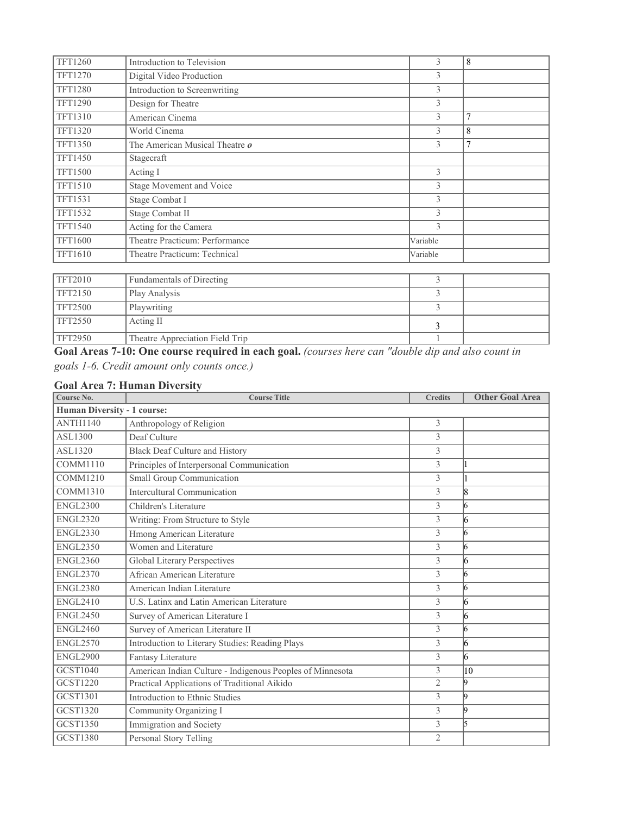| <b>TFT1260</b> | Introduction to Television            | 3        | 8              |
|----------------|---------------------------------------|----------|----------------|
| TFT1270        | Digital Video Production              | 3        |                |
| <b>TFT1280</b> | Introduction to Screenwriting         | 3        |                |
| <b>TFT1290</b> | Design for Theatre                    | 3        |                |
| <b>TFT1310</b> | American Cinema                       | 3        | $\overline{7}$ |
| <b>TFT1320</b> | World Cinema                          | 3        | 8              |
| <b>TFT1350</b> | The American Musical Theatre <i>o</i> | 3        | $\overline{7}$ |
| <b>TFT1450</b> | Stagecraft                            |          |                |
| <b>TFT1500</b> | Acting I                              | 3        |                |
| TFT1510        | Stage Movement and Voice              | 3        |                |
| <b>TFT1531</b> | Stage Combat I                        | 3        |                |
| <b>TFT1532</b> | Stage Combat II                       | 3        |                |
| <b>TFT1540</b> | Acting for the Camera                 | 3        |                |
| <b>TFT1600</b> | Theatre Practicum: Performance        | Variable |                |
| TFT1610        | Theatre Practicum: Technical          | Variable |                |

| <b>TFT2010</b> | Fundamentals of Directing       |  |
|----------------|---------------------------------|--|
| <b>TFT2150</b> | Play Analysis                   |  |
| <b>TFT2500</b> | Playwriting                     |  |
| TFT2550        | Acting II                       |  |
| <b>TFT2950</b> | Theatre Appreciation Field Trip |  |

**Goal Areas 7-10: One course required in each goal.** *(courses here can "double dip and also count in goals 1-6. Credit amount only counts once.)*

# **Goal Area 7: Human Diversity**

| Course No.                         | <b>Course Title</b>                                       | <b>Credits</b> | <b>Other Goal Area</b> |  |
|------------------------------------|-----------------------------------------------------------|----------------|------------------------|--|
| <b>Human Diversity - 1 course:</b> |                                                           |                |                        |  |
| <b>ANTH1140</b>                    | Anthropology of Religion                                  | 3              |                        |  |
| ASL1300                            | Deaf Culture                                              | $\overline{3}$ |                        |  |
| ASL1320                            | <b>Black Deaf Culture and History</b>                     | 3              |                        |  |
| <b>COMM1110</b>                    | Principles of Interpersonal Communication                 | 3              |                        |  |
| <b>COMM1210</b>                    | <b>Small Group Communication</b>                          | 3              |                        |  |
| <b>COMM1310</b>                    | Intercultural Communication                               | 3              | 18                     |  |
| <b>ENGL2300</b>                    | Children's Literature                                     | $\overline{3}$ | 16                     |  |
| <b>ENGL2320</b>                    | Writing: From Structure to Style                          | 3              | 16                     |  |
| <b>ENGL2330</b>                    | Hmong American Literature                                 | $\overline{3}$ | 16                     |  |
| <b>ENGL2350</b>                    | Women and Literature                                      | $\overline{3}$ | 16                     |  |
| <b>ENGL2360</b>                    | <b>Global Literary Perspectives</b>                       | 3              | 16                     |  |
| <b>ENGL2370</b>                    | African American Literature                               | 3              | 16                     |  |
| <b>ENGL2380</b>                    | American Indian Literature                                | $\overline{3}$ | 16                     |  |
| <b>ENGL2410</b>                    | U.S. Latinx and Latin American Literature                 | 3              | 16                     |  |
| <b>ENGL2450</b>                    | Survey of American Literature I                           | 3              | 16                     |  |
| <b>ENGL2460</b>                    | Survey of American Literature II                          | 3              | 16                     |  |
| <b>ENGL2570</b>                    | Introduction to Literary Studies: Reading Plays           | 3              | 16                     |  |
| <b>ENGL2900</b>                    | Fantasy Literature                                        | 3              | 16                     |  |
| <b>GCST1040</b>                    | American Indian Culture - Indigenous Peoples of Minnesota | 3              | 10                     |  |
| <b>GCST1220</b>                    | Practical Applications of Traditional Aikido              | $\overline{2}$ | l9                     |  |
| <b>GCST1301</b>                    | Introduction to Ethnic Studies                            | $\overline{3}$ | l9                     |  |
| <b>GCST1320</b>                    | Community Organizing I                                    | 3              | l9                     |  |
| <b>GCST1350</b>                    | Immigration and Society                                   | 3              | l5                     |  |
| <b>GCST1380</b>                    | Personal Story Telling                                    | $\overline{2}$ |                        |  |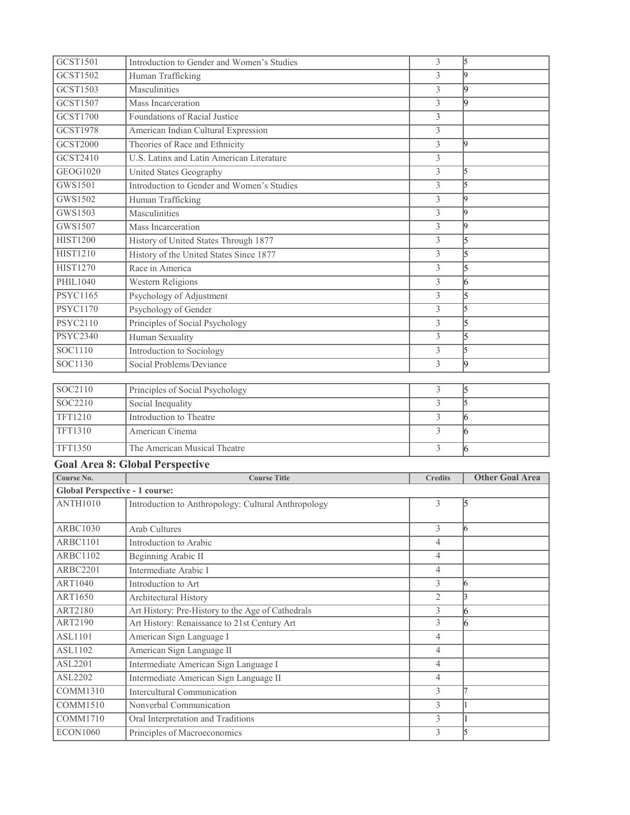| GCST1501                              | Introduction to Gender and Women's Studies                         | 3                                | 5                                |
|---------------------------------------|--------------------------------------------------------------------|----------------------------------|----------------------------------|
| GCST1502                              | Human Trafficking                                                  | 3                                | l9                               |
| <b>GCST1503</b>                       | Masculinities                                                      | 3                                | 19                               |
| GCST1507                              | Mass Incarceration                                                 | 3                                | l9                               |
| GCST1700                              | Foundations of Racial Justice                                      | 3                                |                                  |
| <b>GCST1978</b>                       | American Indian Cultural Expression                                | 3                                |                                  |
| <b>GCST2000</b>                       | Theories of Race and Ethnicity                                     | 3                                | l9                               |
| GCST2410                              | U.S. Latinx and Latin American Literature                          | 3                                |                                  |
| GEOG1020                              | United States Geography                                            | $\mathfrak{Z}$                   | 5                                |
| GWS1501                               | Introduction to Gender and Women's Studies                         | 3                                | 5                                |
| GWS1502                               | Human Trafficking                                                  | $\mathfrak{Z}$                   | l9                               |
| GWS1503                               | Masculinities                                                      | 3                                | 19                               |
| GWS1507                               | Mass Incarceration                                                 | 3                                | l9                               |
| <b>HIST1200</b>                       | History of United States Through 1877                              | 3                                | 5                                |
| <b>HIST1210</b>                       | History of the United States Since 1877                            | 3                                | $\overline{5}$                   |
| <b>HIST1270</b>                       | Race in America                                                    | 3                                | 5                                |
| PHIL1040                              | Western Religions                                                  | 3                                | 16                               |
| <b>PSYC1165</b>                       | Psychology of Adjustment                                           | 3                                | 5                                |
| <b>PSYC1170</b>                       | Psychology of Gender                                               | 3                                | 5                                |
| <b>PSYC2110</b>                       | Principles of Social Psychology                                    | 3                                | $\overline{5}$                   |
| <b>PSYC2340</b>                       | <b>Human Sexuality</b>                                             | 3                                | 5                                |
| SOC1110                               | Introduction to Sociology                                          | 3                                | 5                                |
| SOC1130                               | Social Problems/Deviance                                           | 3                                | l9                               |
|                                       |                                                                    |                                  |                                  |
| SOC2110                               | Principles of Social Psychology                                    | 3                                | 5                                |
| SOC2210                               | Social Inequality                                                  | 3                                | 5                                |
| <b>TFT1210</b>                        | Introduction to Theatre                                            | 3                                | 16                               |
| TFT1310                               | American Cinema                                                    | 3                                | 6                                |
| <b>TFT1350</b>                        | The American Musical Theatre                                       | 3                                | 16                               |
|                                       | <b>Goal Area 8: Global Perspective</b>                             |                                  |                                  |
| Course No.                            | <b>Course Title</b>                                                | <b>Credits</b>                   | <b>Other Goal Area</b>           |
| <b>Global Perspective - 1 course:</b> |                                                                    |                                  |                                  |
| <b>ANTH1010</b>                       | Introduction to Anthropology: Cultural Anthropology                | 3                                | 15                               |
| <b>ARBC1030</b>                       | <b>Arab Cultures</b>                                               | 3                                | 16                               |
| <b>ARBC1101</b>                       | Introduction to Arabic                                             | $\overline{4}$                   |                                  |
| <b>ARBC1102</b>                       | Beginning Arabic II                                                | $\overline{4}$                   |                                  |
| <b>ARBC2201</b>                       | Intermediate Arabic I                                              | $\overline{4}$                   |                                  |
| ART1040                               | Introduction to Art                                                | 3                                | 16                               |
| <b>ART1650</b>                        | Architectural History                                              | $\overline{2}$                   | $\vert$ 3                        |
| ART2180                               | Art History: Pre-History to the Age of Cathedrals                  | 3                                | 6                                |
| ART2190                               | Art History: Renaissance to 21st Century Art                       | $\overline{3}$                   | 6                                |
| ASL1101                               | American Sign Language I                                           | $\overline{4}$                   |                                  |
| <b>ASL1102</b>                        | American Sign Language II                                          | $\overline{4}$                   |                                  |
| ASL2201                               | Intermediate American Sign Language I                              | $\overline{4}$                   |                                  |
| ASL2202                               | Intermediate American Sign Language II                             | $\overline{4}$                   |                                  |
| COMM1310                              | <b>Intercultural Communication</b>                                 | 3                                | 17                               |
| COMM1510                              | Nonverbal Communication                                            | $\overline{3}$                   | $\overline{1}$                   |
| <b>COMM1710</b>                       |                                                                    |                                  |                                  |
| <b>ECON1060</b>                       | Oral Interpretation and Traditions<br>Principles of Macroeconomics | $\overline{3}$<br>$\overline{3}$ | $\overline{1}$<br>$\overline{5}$ |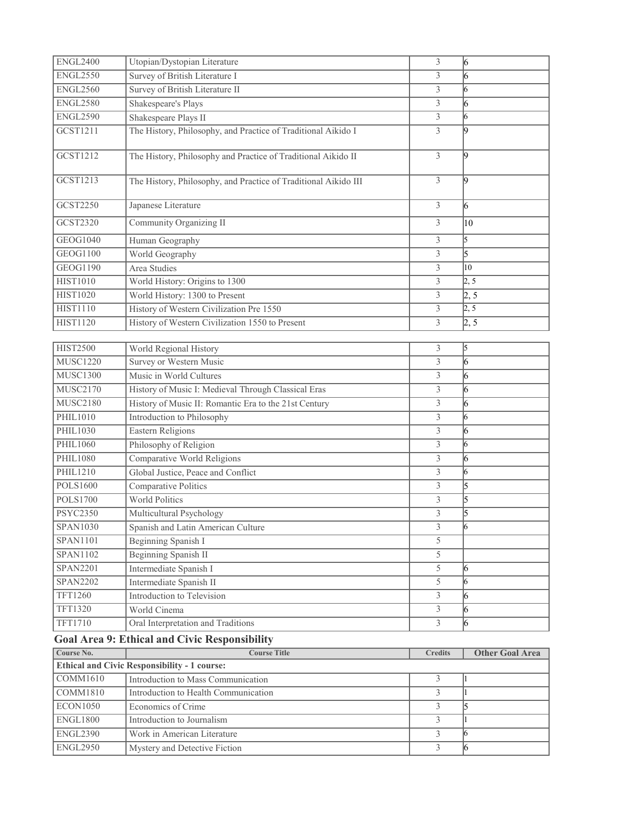| <b>ENGL2400</b> | Utopian/Dystopian Literature                                    | 3                       | $\vert 6 \vert$        |
|-----------------|-----------------------------------------------------------------|-------------------------|------------------------|
| <b>ENGL2550</b> | Survey of British Literature I                                  | 3                       | 16                     |
| <b>ENGL2560</b> | Survey of British Literature II                                 | 3                       | 16                     |
| <b>ENGL2580</b> | Shakespeare's Plays                                             | 3                       | 16                     |
| <b>ENGL2590</b> | Shakespeare Plays II                                            | $\overline{3}$          | 6                      |
| GCST1211        | The History, Philosophy, and Practice of Traditional Aikido I   | 3                       | l9                     |
|                 |                                                                 |                         |                        |
| GCST1212        | The History, Philosophy and Practice of Traditional Aikido II   | 3                       | $\vert$ 9              |
| GCST1213        | The History, Philosophy, and Practice of Traditional Aikido III | 3                       | $\vert$ 9              |
| GCST2250        | Japanese Literature                                             | 3                       | $\vert 6 \vert$        |
| GCST2320        | Community Organizing II                                         | 3                       | 10                     |
| GEOG1040        | Human Geography                                                 | 3                       | l5                     |
| GEOG1100        | World Geography                                                 | 3                       | l5                     |
| <b>GEOG1190</b> | Area Studies                                                    | 3                       | 10                     |
| <b>HIST1010</b> | World History: Origins to 1300                                  | $\overline{3}$          | 2, 5                   |
| <b>HIST1020</b> | World History: 1300 to Present                                  | 3                       | $\sqrt{2, 5}$          |
| <b>HIST1110</b> | History of Western Civilization Pre 1550                        | $\overline{3}$          | 2, 5                   |
| <b>HIST1120</b> | History of Western Civilization 1550 to Present                 | 3                       | 2, 5                   |
|                 |                                                                 |                         |                        |
| <b>HIST2500</b> | World Regional History                                          | 3                       | 5                      |
| <b>MUSC1220</b> | <b>Survey or Western Music</b>                                  | 3                       | 6                      |
| <b>MUSC1300</b> | Music in World Cultures                                         | 3                       | $\overline{6}$         |
| <b>MUSC2170</b> | History of Music I: Medieval Through Classical Eras             | $\mathfrak{Z}$          | 6                      |
| <b>MUSC2180</b> | History of Music II: Romantic Era to the 21st Century           | 3                       | 16                     |
| PHIL1010        | Introduction to Philosophy                                      | 3                       | l6                     |
| PHIL1030        | <b>Eastern Religions</b>                                        | 3                       | $\overline{6}$         |
| PHIL1060        | Philosophy of Religion                                          | $\overline{3}$          | l6                     |
| <b>PHIL1080</b> | Comparative World Religions                                     | 3                       | 16                     |
| PHIL1210        | Global Justice, Peace and Conflict                              | 3                       | 16                     |
| <b>POLS1600</b> | Comparative Politics                                            | 3                       | 5                      |
| <b>POLS1700</b> | <b>World Politics</b>                                           | $\mathfrak{Z}$          | l5                     |
| <b>PSYC2350</b> | Multicultural Psychology                                        | $\overline{3}$          | l5                     |
| SPAN1030        | Spanish and Latin American Culture                              | 3                       | 6                      |
| <b>SPAN1101</b> | Beginning Spanish I                                             | 5                       |                        |
| SPAN1102        | Beginning Spanish II                                            | 5                       |                        |
| <b>SPAN2201</b> | Intermediate Spanish I                                          | $\overline{5}$          | 16                     |
| <b>SPAN2202</b> | Intermediate Spanish II                                         | 5                       | 6                      |
| TFT1260         | Introduction to Television                                      | $\overline{\mathbf{3}}$ | $\vert 6 \vert$        |
| TFT1320         | World Cinema                                                    | $\overline{\mathbf{3}}$ | $\overline{6}$         |
| TFT1710         | Oral Interpretation and Traditions                              | $\overline{3}$          | $\overline{6}$         |
|                 | <b>Goal Area 9: Ethical and Civic Responsibility</b>            |                         |                        |
| Course No.      | <b>Course Title</b>                                             | <b>Credits</b>          | <b>Other Goal Area</b> |
|                 | <b>Ethical and Civic Responsibility - 1 course:</b>             |                         |                        |

| <b>Ethical and Civic Responsibility - 1 course:</b> |                                      |  |  |  |  |  |
|-----------------------------------------------------|--------------------------------------|--|--|--|--|--|
| COMM1610                                            | Introduction to Mass Communication   |  |  |  |  |  |
| COMM1810                                            | Introduction to Health Communication |  |  |  |  |  |
| ECON1050                                            | Economics of Crime                   |  |  |  |  |  |
| <b>ENGL1800</b>                                     | Introduction to Journalism           |  |  |  |  |  |
| <b>ENGL2390</b>                                     | Work in American Literature          |  |  |  |  |  |
| <b>ENGL2950</b>                                     | Mystery and Detective Fiction        |  |  |  |  |  |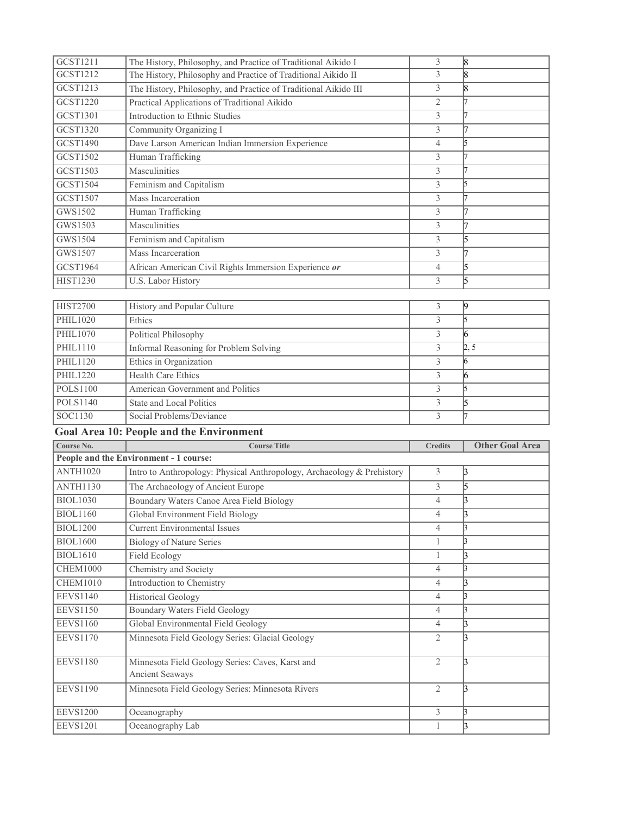| GCST1211                           | The History, Philosophy, and Practice of Traditional Aikido I          | 3                              | 18                     |
|------------------------------------|------------------------------------------------------------------------|--------------------------------|------------------------|
| GCST1212                           | The History, Philosophy and Practice of Traditional Aikido II          | 3                              | 18                     |
| GCST1213                           | The History, Philosophy, and Practice of Traditional Aikido III        | 3                              | 18                     |
| GCST1220                           | Practical Applications of Traditional Aikido                           | $\overline{2}$                 | 17                     |
| <b>GCST1301</b>                    | Introduction to Ethnic Studies                                         | 3                              | 17                     |
| GCST1320                           | Community Organizing I                                                 | 3                              | 17                     |
| GCST1490                           | Dave Larson American Indian Immersion Experience                       | l5                             |                        |
| GCST1502                           | Human Trafficking                                                      | 3                              | 17                     |
| GCST1503                           | Masculinities                                                          | 3                              | 17                     |
| GCST1504                           | Feminism and Capitalism                                                | 3                              | 5                      |
| GCST1507                           | Mass Incarceration                                                     | 3                              | 17                     |
| GWS1502                            | Human Trafficking                                                      | 3                              | 17                     |
| GWS1503                            | Masculinities                                                          | 3                              | 17                     |
| GWS1504                            | Feminism and Capitalism                                                | 3                              | 5                      |
| GWS1507                            | Mass Incarceration                                                     | 3                              | 17                     |
| <b>GCST1964</b>                    | African American Civil Rights Immersion Experience or                  | $\overline{4}$                 | 5                      |
| <b>HIST1230</b>                    | <b>U.S. Labor History</b>                                              | 3                              | $\overline{5}$         |
|                                    |                                                                        |                                |                        |
| <b>HIST2700</b>                    | History and Popular Culture                                            | 3                              | 9                      |
| PHIL1020                           | Ethics                                                                 | 3                              | $\overline{5}$         |
| PHIL1070                           | Political Philosophy                                                   | 3                              | 6                      |
| PHIL1110                           | <b>Informal Reasoning for Problem Solving</b>                          | 3                              | 2, 5                   |
| PHIL1120                           | Ethics in Organization                                                 | 3                              | 16                     |
| <b>PHIL1220</b>                    | Health Care Ethics                                                     | 3                              | 16                     |
| <b>POLS1100</b>                    | American Government and Politics                                       | 3                              | 5                      |
|                                    |                                                                        |                                |                        |
| <b>POLS1140</b>                    | State and Local Politics                                               | 3                              | 5                      |
| SOC1130                            | Social Problems/Deviance                                               | 3                              | 17                     |
|                                    | <b>Goal Area 10: People and the Environment</b>                        |                                |                        |
| Course No.                         | <b>Course Title</b>                                                    | <b>Credits</b>                 | <b>Other Goal Area</b> |
|                                    | People and the Environment - 1 course:                                 |                                |                        |
| <b>ANTH1020</b>                    | Intro to Anthropology: Physical Anthropology, Archaeology & Prehistory | 3                              | 3                      |
| <b>ANTH1130</b>                    | The Archaeology of Ancient Europe                                      | 3                              | 5                      |
| <b>BIOL1030</b>                    | Boundary Waters Canoe Area Field Biology                               | $\overline{4}$                 | 3                      |
| <b>BIOL1160</b>                    | Global Environment Field Biology                                       | 4                              | l٩                     |
| <b>BIOL1200</b>                    | <b>Current Environmental Issues</b>                                    | $\overline{4}$                 | 3                      |
| <b>BIOL1600</b>                    | <b>Biology of Nature Series</b>                                        | 1                              | l3                     |
| <b>BIOL1610</b>                    | <b>Field Ecology</b>                                                   | 1                              | 3                      |
| <b>CHEM1000</b>                    | Chemistry and Society                                                  | $\overline{4}$                 | 3                      |
| <b>CHEM1010</b>                    | Introduction to Chemistry                                              | $\overline{4}$                 | 3                      |
| <b>EEVS1140</b>                    | <b>Historical Geology</b>                                              | $\overline{4}$                 | 3                      |
| <b>EEVS1150</b>                    | <b>Boundary Waters Field Geology</b>                                   | $\overline{4}$                 | 3                      |
| <b>EEVS1160</b>                    | Global Environmental Field Geology                                     | $\overline{4}$                 | $\vert$ 3              |
| <b>EEVS1170</b>                    | Minnesota Field Geology Series: Glacial Geology                        | $\overline{2}$                 | 3                      |
| <b>EEVS1180</b>                    | Minnesota Field Geology Series: Caves, Karst and                       | $\overline{2}$                 | 3                      |
|                                    | Ancient Seaways                                                        |                                |                        |
| <b>EEVS1190</b>                    | Minnesota Field Geology Series: Minnesota Rivers                       | $\overline{2}$                 | 3                      |
| <b>EEVS1200</b><br><b>EEVS1201</b> | Oceanography<br>Oceanography Lab                                       | $\mathfrak{Z}$<br>$\mathbf{1}$ | 3<br>3                 |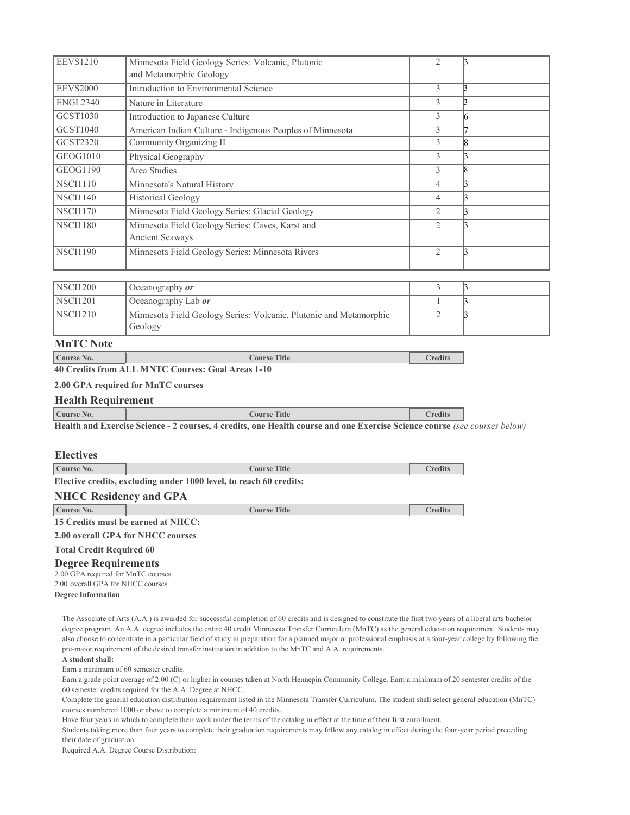| <b>EEVS1210</b> | Minnesota Field Geology Series: Volcanic, Plutonic        | $\overline{2}$ |  |
|-----------------|-----------------------------------------------------------|----------------|--|
|                 | and Metamorphic Geology                                   |                |  |
| <b>EEVS2000</b> | Introduction to Environmental Science                     | 3              |  |
| <b>ENGL2340</b> | Nature in Literature                                      | 3              |  |
| GCST1030        | Introduction to Japanese Culture                          | 3              |  |
| GCST1040        | American Indian Culture - Indigenous Peoples of Minnesota | 3              |  |
| GCST2320        | Community Organizing II                                   | $\mathcal{E}$  |  |
| GEOG1010        | Physical Geography                                        | 3              |  |
| GEOG1190        | Area Studies                                              | 3              |  |
| <b>NSCI1110</b> | Minnesota's Natural History                               | $\overline{4}$ |  |
| <b>NSCI1140</b> | <b>Historical Geology</b>                                 | 4              |  |
| <b>NSCI1170</b> | Minnesota Field Geology Series: Glacial Geology           | $\overline{2}$ |  |
| <b>NSCI1180</b> | Minnesota Field Geology Series: Caves, Karst and          | $\mathfrak{D}$ |  |
|                 | Ancient Seaways                                           |                |  |
| <b>NSCI1190</b> | Minnesota Field Geology Series: Minnesota Rivers          | $\overline{2}$ |  |
|                 |                                                           |                |  |

| NSCI1200   | Oceanography <i>or</i>                                                        |  |
|------------|-------------------------------------------------------------------------------|--|
| NSCI1201   | Oceanography Lab <i>or</i>                                                    |  |
| $NSCI1210$ | Minnesota Field Geology Series: Volcanic, Plutonic and Metamorphic<br>Geology |  |

**MnTC Note**

## **Course No. Course Title Credits**

**40 Credits from ALL MNTC Courses: Goal Areas 1-10**

## **2.00 GPA required for MnTC courses**

### **Health Requirement**

| Course No.            |               |  |   | rane,<br>1 I I I 6 |  |  | redits |
|-----------------------|---------------|--|---|--------------------|--|--|--------|
| ----<br>$\sim$ $\sim$ | $\sim$ $\sim$ |  | . | .<br>--            |  |  |        |

Health and Exercise Science - 2 courses, 4 credits, one Health course and one Exercise Science course (see courses below)

### **Electives**

| Course No. | <b>Title</b><br>Course i |  |
|------------|--------------------------|--|
|            |                          |  |

**Elective credits, excluding under 1000 level, to reach 60 credits:**

## **NHCC Residency and GPA**

| Course No. | Course Title                       | <b>Tredits</b> |
|------------|------------------------------------|----------------|
|            | 15 Credits must be earned at NHCC: |                |

**2.00 overall GPA for NHCC courses**

# **Total Credit Required 60**

**Degree Requirements**

2.00 GPA required for MnTC courses 2.00 overall GPA for NHCC courses

**Degree Information**

The Associate of Arts (A.A.) is awarded for successful completion of 60 credits and is designed to constitute the first two years of a liberal arts bachelor degree program. An A.A. degree includes the entire 40 credit Minnesota Transfer Curriculum (MnTC) as the general education requirement. Students may also choose to concentrate in a particular field of study in preparation for a planned major or professional emphasis at a four-year college by following the pre-major requirement of the desired transfer institution in addition to the MnTC and A.A. requirements.

### **A student shall:**

Earn a minimum of 60 semester credits.

Earn a grade point average of 2.00 (C) or higher in courses taken at North Hennepin Community College. Earn a minimum of 20 semester credits of the 60 semester credits required for the A.A. Degree at NHCC.

Complete the general education distribution requirement listed in the Minnesota Transfer Curriculum. The student shall select general education (MnTC) courses numbered 1000 or above to complete a minimum of 40 credits.

Have four years in which to complete their work under the terms of the catalog in effect at the time of their first enrollment.

Students taking more than four years to complete their graduation requirements may follow any catalog in effect during the four-year period preceding their date of graduation.

Required A.A. Degree Course Distribution: